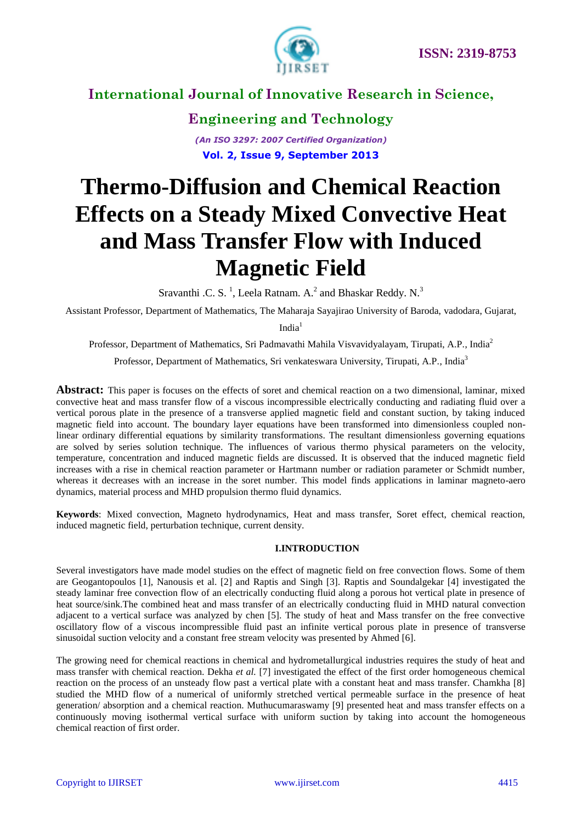

**Engineering and Technology** *(An ISO 3297: 2007 Certified Organization)*

**Vol. 2, Issue 9, September 2013**

# **Thermo-Diffusion and Chemical Reaction Effects on a Steady Mixed Convective Heat and Mass Transfer Flow with Induced Magnetic Field**

Sravanthi .C. S.<sup>1</sup>, Leela Ratnam. A.<sup>2</sup> and Bhaskar Reddy. N.<sup>3</sup>

Assistant Professor, Department of Mathematics, The Maharaja Sayajirao University of Baroda, vadodara, Gujarat,

India $1$ 

Professor, Department of Mathematics, Sri Padmavathi Mahila Visvavidyalayam, Tirupati, A.P., India<sup>2</sup>

Professor, Department of Mathematics, Sri venkateswara University, Tirupati, A.P., India<sup>3</sup>

**Abstract:** This paper is focuses on the effects of soret and chemical reaction on a two dimensional, laminar, mixed convective heat and mass transfer flow of a viscous incompressible electrically conducting and radiating fluid over a vertical porous plate in the presence of a transverse applied magnetic field and constant suction, by taking induced magnetic field into account. The boundary layer equations have been transformed into dimensionless coupled nonlinear ordinary differential equations by similarity transformations. The resultant dimensionless governing equations are solved by series solution technique. The influences of various thermo physical parameters on the velocity, temperature, concentration and induced magnetic fields are discussed. It is observed that the induced magnetic field increases with a rise in chemical reaction parameter or Hartmann number or radiation parameter or Schmidt number, whereas it decreases with an increase in the soret number. This model finds applications in laminar magneto-aero dynamics, material process and MHD propulsion thermo fluid dynamics.

**Keywords**: Mixed convection, Magneto hydrodynamics, Heat and mass transfer, Soret effect, chemical reaction, induced magnetic field, perturbation technique, current density.

#### **I.INTRODUCTION**

Several investigators have made model studies on the effect of magnetic field on free convection flows. Some of them are Geogantopoulos [1], Nanousis et al. [2] and Raptis and Singh [3]. Raptis and Soundalgekar [4] investigated the steady laminar free convection flow of an electrically conducting fluid along a porous hot vertical plate in presence of heat source/sink.The combined heat and mass transfer of an electrically conducting fluid in MHD natural convection adjacent to a vertical surface was analyzed by chen [5]. The study of heat and Mass transfer on the free convective oscillatory flow of a viscous incompressible fluid past an infinite vertical porous plate in presence of transverse sinusoidal suction velocity and a constant free stream velocity was presented by Ahmed [6].

The growing need for chemical reactions in chemical and hydrometallurgical industries requires the study of heat and mass transfer with chemical reaction. Dekha *et al.* [7] investigated the effect of the first order homogeneous chemical reaction on the process of an unsteady flow past a vertical plate with a constant heat and mass transfer. Chamkha [8] studied the MHD flow of a numerical of uniformly stretched vertical permeable surface in the presence of heat generation/ absorption and a chemical reaction. Muthucumaraswamy [9] presented heat and mass transfer effects on a continuously moving isothermal vertical surface with uniform suction by taking into account the homogeneous chemical reaction of first order.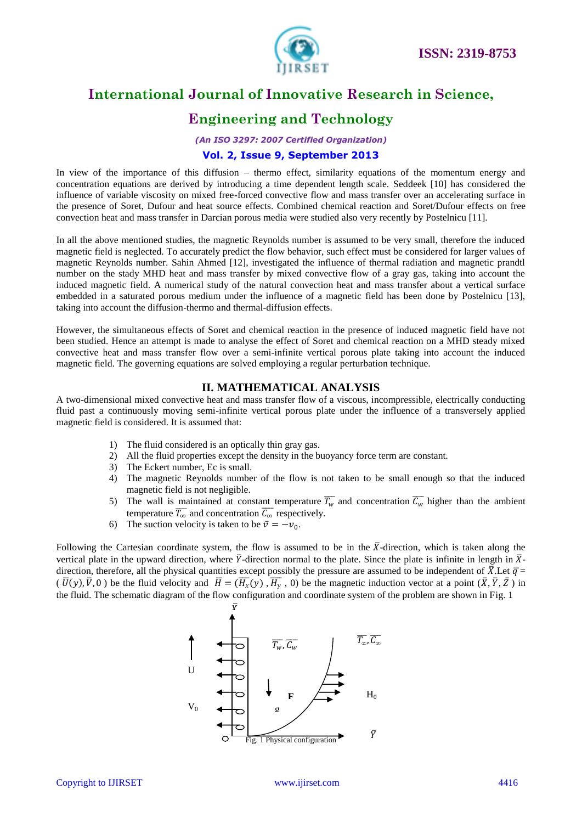



### **Engineering and Technology**

*(An ISO 3297: 2007 Certified Organization)*

### **Vol. 2, Issue 9, September 2013**

In view of the importance of this diffusion – thermo effect, similarity equations of the momentum energy and concentration equations are derived by introducing a time dependent length scale. Seddeek [10] has considered the influence of variable viscosity on mixed free-forced convective flow and mass transfer over an accelerating surface in the presence of Soret, Dufour and heat source effects. Combined chemical reaction and Soret/Dufour effects on free convection heat and mass transfer in Darcian porous media were studied also very recently by Postelnicu [11].

In all the above mentioned studies, the magnetic Reynolds number is assumed to be very small, therefore the induced magnetic field is neglected. To accurately predict the flow behavior, such effect must be considered for larger values of magnetic Reynolds number. Sahin Ahmed [12], investigated the influence of thermal radiation and magnetic prandtl number on the stady MHD heat and mass transfer by mixed convective flow of a gray gas, taking into account the induced magnetic field. A numerical study of the natural convection heat and mass transfer about a vertical surface embedded in a saturated porous medium under the influence of a magnetic field has been done by Postelnicu [13], taking into account the diffusion-thermo and thermal-diffusion effects.

However, the simultaneous effects of Soret and chemical reaction in the presence of induced magnetic field have not been studied. Hence an attempt is made to analyse the effect of Soret and chemical reaction on a MHD steady mixed convective heat and mass transfer flow over a semi-infinite vertical porous plate taking into account the induced magnetic field. The governing equations are solved employing a regular perturbation technique.

#### **II. MATHEMATICAL ANALYSIS**

A two-dimensional mixed convective heat and mass transfer flow of a viscous, incompressible, electrically conducting fluid past a continuously moving semi-infinite vertical porous plate under the influence of a transversely applied magnetic field is considered. It is assumed that:

- 1) The fluid considered is an optically thin gray gas.
- 2) All the fluid properties except the density in the buoyancy force term are constant.
- 3) The Eckert number, Ec is small.
- 4) The magnetic Reynolds number of the flow is not taken to be small enough so that the induced magnetic field is not negligible.
- 5) The wall is maintained at constant temperature  $\overline{T_w}$  and concentration  $\overline{C_w}$  higher than the ambient temperature  $\overline{T_{\infty}}$  and concentration  $\overline{C_{\infty}}$  respectively.
- 6) The suction velocity is taken to be  $\bar{v} = -v_0$ .

Following the Cartesian coordinate system, the flow is assumed to be in the  $\bar{X}$ -direction, which is taken along the vertical plate in the upward direction, where  $\bar{Y}$ -direction normal to the plate. Since the plate is infinite in length in  $\bar{X}$ direction, therefore, all the physical quantities except possibly the pressure are assumed to be independent of  $\bar{X}$ . Let  $\bar{q}$  =  $(\overline{U}(y), \overline{V}, 0)$  be the fluid velocity and  $\overline{H} = (\overline{H_x}(y), \overline{H_y}, 0)$  be the magnetic induction vector at a point  $(\overline{X}, \overline{Y}, \overline{Z})$  in the fluid. The schematic diagram of the flow configuration and coordinate system of the problem are shown in Fig. 1

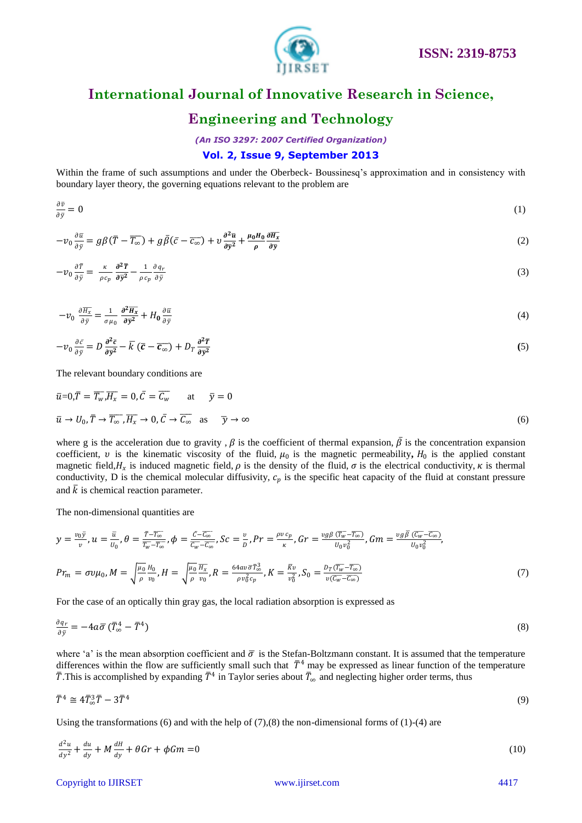

### **Engineering and Technology**

*(An ISO 3297: 2007 Certified Organization)*

### **Vol. 2, Issue 9, September 2013**

Within the frame of such assumptions and under the Oberbeck- Boussinesq"s approximation and in consistency with boundary layer theory, the governing equations relevant to the problem are

$$
\frac{\partial \bar{v}}{\partial \bar{y}} = 0 \tag{1}
$$

$$
-v_0 \frac{\partial \bar{u}}{\partial \bar{y}} = g\beta(\bar{T} - \overline{T_{\infty}}) + g\bar{\beta}(\bar{c} - \overline{c_{\infty}}) + v \frac{\partial^2 \bar{u}}{\partial \bar{y}^2} + \frac{\mu_0 \mu_0}{\rho} \frac{\partial \overline{H_x}}{\partial \bar{y}}
$$
(2)

$$
-v_0 \frac{\partial \bar{T}}{\partial \bar{y}} = \frac{\kappa}{\rho c_p} \frac{\partial^2 \bar{T}}{\partial \bar{y}^2} - \frac{1}{\rho c_p} \frac{\partial q_r}{\partial \bar{y}}
$$
(3)

$$
-v_0 \frac{\partial \overline{H_x}}{\partial \overline{y}} = \frac{1}{\sigma \mu_0} \frac{\partial^2 \overline{H_x}}{\partial \overline{y}^2} + H_0 \frac{\partial \overline{u}}{\partial \overline{y}}
$$
(4)

$$
-v_0 \frac{\partial \bar{c}}{\partial \bar{y}} = D \frac{\partial^2 \bar{c}}{\partial \bar{y}^2} - \bar{k} (\bar{c} - \bar{c}_{\infty}) + D_T \frac{\partial^2 \bar{T}}{\partial \bar{y}^2}
$$
(5)

The relevant boundary conditions are

$$
\overline{u}=0,\overline{T}=\overline{T_w},\overline{H_x}=0,\overline{C}=\overline{C_w} \qquad \text{at} \qquad \overline{y}=0
$$
  

$$
\overline{u} \to U_0, \overline{T} \to \overline{T_{\infty}}, \overline{H_x} \to 0, \overline{C} \to \overline{C_{\infty}} \quad \text{as} \qquad \overline{y} \to \infty
$$
 (6)

where g is the acceleration due to gravity,  $\beta$  is the coefficient of thermal expansion,  $\bar{\beta}$  is the concentration expansion coefficient,  $v$  is the kinematic viscosity of the fluid,  $\mu_0$  is the magnetic permeability,  $H_0$  is the applied constant magnetic field,  $H_x$  is induced magnetic field,  $\rho$  is the density of the fluid,  $\sigma$  is the electrical conductivity,  $\kappa$  is thermal conductivity, D is the chemical molecular diffusivity,  $c_p$  is the specific heat capacity of the fluid at constant pressure and  $\overline{k}$  is chemical reaction parameter.

The non-dimensional quantities are

$$
y = \frac{v_0 \bar{y}}{v}, u = \frac{\bar{u}}{v_0}, \theta = \frac{\bar{T} - \bar{T_{\infty}}}{\bar{T_w} - \bar{T_{\infty}}}, \phi = \frac{\bar{c} - \bar{c_{\infty}}}{\bar{c_w} - \bar{c_{\infty}}}, Sc = \frac{v}{D}, Pr = \frac{\rho v c_p}{\kappa}, Gr = \frac{v g \beta (\bar{T_w} - \bar{T_{\infty}})}{v_0 v_0^2}, Gm = \frac{v g \bar{\beta} (\bar{c_w} - \bar{c_{\infty}})}{v_0 v_0^2},
$$
  

$$
Pr_m = \sigma v \mu_0, M = \sqrt{\frac{\mu_0}{\rho} \frac{H_0}{v_0}}, H = \sqrt{\frac{\mu_0}{\rho} \frac{H_x}{v_0}}, R = \frac{64 a v \bar{\sigma} \bar{T_{\infty}^3}}{\rho v_0^2 c_p}, K = \frac{\bar{K} v}{v_0^2}, S_0 = \frac{D_T(\bar{T_w} - \bar{T_{\infty}})}{v(\bar{c_w} - \bar{c_{\infty}})}
$$
(7)

For the case of an optically thin gray gas, the local radiation absorption is expressed as

$$
\frac{\partial q_r}{\partial \bar{y}} = -4a\bar{\sigma}(\bar{T}_{\infty}^4 - \bar{T}^4) \tag{8}
$$

where 'a' is the mean absorption coefficient and  $\bar{\sigma}$  is the Stefan-Boltzmann constant. It is assumed that the temperature differences within the flow are sufficiently small such that  $T^4$  may be expressed as linear function of the temperature  $\bar{T}$ .This is accomplished by expanding  $\bar{T}^4$  in Taylor series about  $\bar{T}_\infty$  and neglecting higher order terms, thus

$$
\overline{T}^4 \cong 4\overline{T}_{\infty}^3 \overline{T} - 3\overline{T}^4 \tag{9}
$$

Using the transformations (6) and with the help of  $(7)$ , $(8)$  the non-dimensional forms of  $(1)$ - $(4)$  are

$$
\frac{d^2u}{dy^2} + \frac{du}{dy} + M\frac{dH}{dy} + \theta Gr + \phi Gm = 0
$$
\n(10)

Copyright to IJIRSET [www.ijirset.com](http://www.ijirset.com/) 4417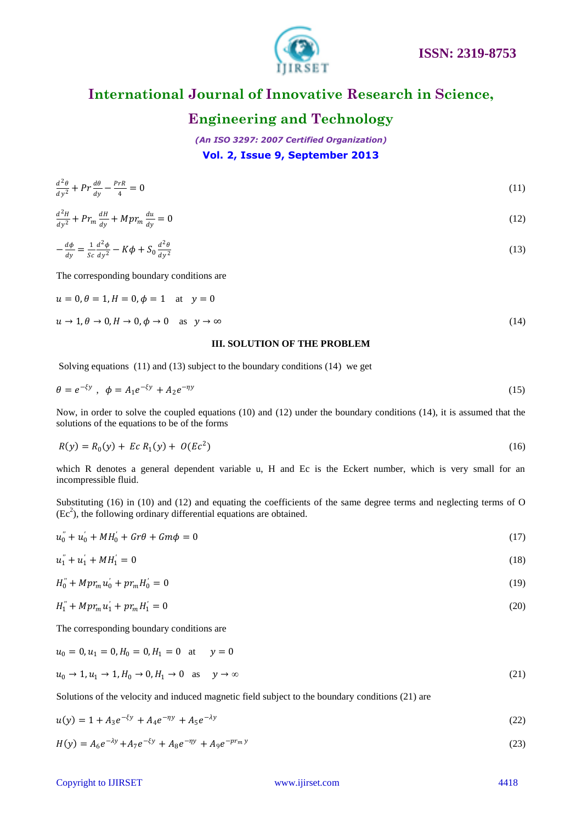

### **Engineering and Technology**

*(An ISO 3297: 2007 Certified Organization)* **Vol. 2, Issue 9, September 2013**

$$
\frac{d^2\theta}{dy^2} + Pr\frac{d\theta}{dy} - \frac{PrR}{4} = 0\tag{11}
$$

$$
\frac{d^2H}{dy^2} + Pr_m \frac{dH}{dy} + Mpr_m \frac{du}{dy} = 0
$$
\n(12)

$$
-\frac{d\phi}{dy} = \frac{1}{Sc}\frac{d^2\phi}{dy^2} - K\phi + S_0 \frac{d^2\theta}{dy^2}
$$
\n(13)

The corresponding boundary conditions are

$$
u = 0, \theta = 1, H = 0, \phi = 1 \quad \text{at} \quad y = 0
$$
  

$$
u \to 1, \theta \to 0, H \to 0, \phi \to 0 \quad \text{as} \quad y \to \infty
$$
 (14)

#### **III. SOLUTION OF THE PROBLEM**

Solving equations (11) and (13) subject to the boundary conditions (14) we get

$$
\theta = e^{-\xi y}, \quad \phi = A_1 e^{-\xi y} + A_2 e^{-\eta y} \tag{15}
$$

Now, in order to solve the coupled equations (10) and (12) under the boundary conditions (14), it is assumed that the solutions of the equations to be of the forms

$$
R(y) = R_0(y) + Ec R_1(y) + O(Ec^2)
$$
\n(16)

which R denotes a general dependent variable u, H and Ec is the Eckert number, which is very small for an incompressible fluid.

Substituting (16) in (10) and (12) and equating the coefficients of the same degree terms and neglecting terms of O  $(Ec<sup>2</sup>)$ , the following ordinary differential equations are obtained.

$$
u_0'' + u_0' + M H_0' + G r \theta + G m \phi = 0 \tag{17}
$$

$$
u_1'' + u_1' + M H_1' = 0 \tag{18}
$$

$$
H_0'' + Mpr_m u_0' + pr_m H_0' = 0
$$
\n(19)

$$
H_1'' + Mpr_m u_1' + pr_m H_1' = 0 \tag{20}
$$

The corresponding boundary conditions are

$$
u_0 = 0, u_1 = 0, H_0 = 0, H_1 = 0 \quad \text{at} \quad y = 0
$$
  

$$
u_0 \to 1, u_1 \to 1, H_0 \to 0, H_1 \to 0 \quad \text{as} \quad y \to \infty
$$
 (21)

Solutions of the velocity and induced magnetic field subject to the boundary conditions (21) are

$$
u(y) = 1 + A_3 e^{-\xi y} + A_4 e^{-\eta y} + A_5 e^{-\lambda y} \tag{22}
$$

$$
H(y) = A_6 e^{-\lambda y} + A_7 e^{-\xi y} + A_8 e^{-\eta y} + A_9 e^{-\eta r_m y}
$$
\n(23)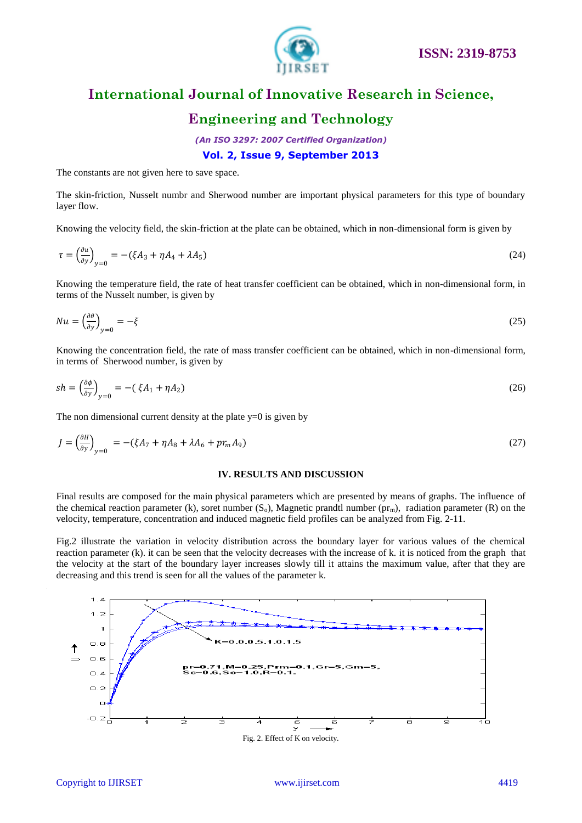

### **Engineering and Technology**

*(An ISO 3297: 2007 Certified Organization)*

### **Vol. 2, Issue 9, September 2013**

The constants are not given here to save space.

The skin-friction, Nusselt numbr and Sherwood number are important physical parameters for this type of boundary layer flow.

Knowing the velocity field, the skin-friction at the plate can be obtained, which in non-dimensional form is given by

$$
\tau = \left(\frac{\partial u}{\partial y}\right)_{y=0} = -(\xi A_3 + \eta A_4 + \lambda A_5) \tag{24}
$$

Knowing the temperature field, the rate of heat transfer coefficient can be obtained, which in non-dimensional form, in terms of the Nusselt number, is given by

$$
Nu = \left(\frac{\partial \theta}{\partial y}\right)_{y=0} = -\xi
$$
\n(25)

Knowing the concentration field, the rate of mass transfer coefficient can be obtained, which in non-dimensional form, in terms of Sherwood number, is given by

$$
sh = \left(\frac{\partial \phi}{\partial y}\right)_{y=0} = -(\xi A_1 + \eta A_2)
$$
\n<sup>(26)</sup>

The non dimensional current density at the plate  $y=0$  is given by

$$
J = \left(\frac{\partial H}{\partial y}\right)_{y=0} = -(\xi A_7 + \eta A_8 + \lambda A_6 + pr_m A_9) \tag{27}
$$

#### **IV. RESULTS AND DISCUSSION**

Final results are composed for the main physical parameters which are presented by means of graphs. The influence of the chemical reaction parameter (k), soret number  $(S_0)$ , Magnetic prandtl number  $(pr_m)$ , radiation parameter (R) on the velocity, temperature, concentration and induced magnetic field profiles can be analyzed from Fig. 2-11.

Fig.2 illustrate the variation in velocity distribution across the boundary layer for various values of the chemical reaction parameter (k). it can be seen that the velocity decreases with the increase of k. it is noticed from the graph that the velocity at the start of the boundary layer increases slowly till it attains the maximum value, after that they are decreasing and this trend is seen for all the values of the parameter k.

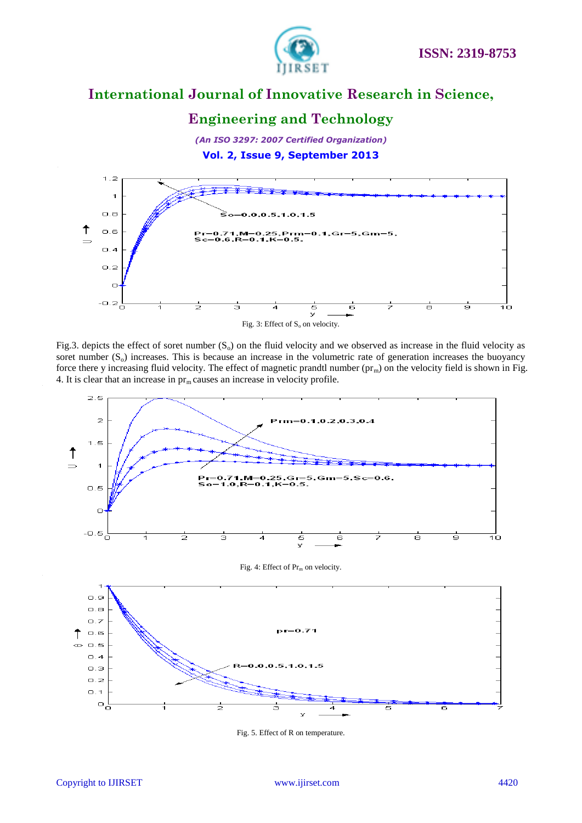

### **Engineering and Technology**

*(An ISO 3297: 2007 Certified Organization)* **Vol. 2, Issue 9, September 2013**



Fig.3. depicts the effect of soret number  $(S_0)$  on the fluid velocity and we observed as increase in the fluid velocity as soret number  $(S_0)$  increases. This is because an increase in the volumetric rate of generation increases the buoyancy force there y increasing fluid velocity. The effect of magnetic prandtl number  $(pr_m)$  on the velocity field is shown in Fig. 4. It is clear that an increase in  $pr_m$  causes an increase in velocity profile.



Fig. 5. Effect of R on temperature.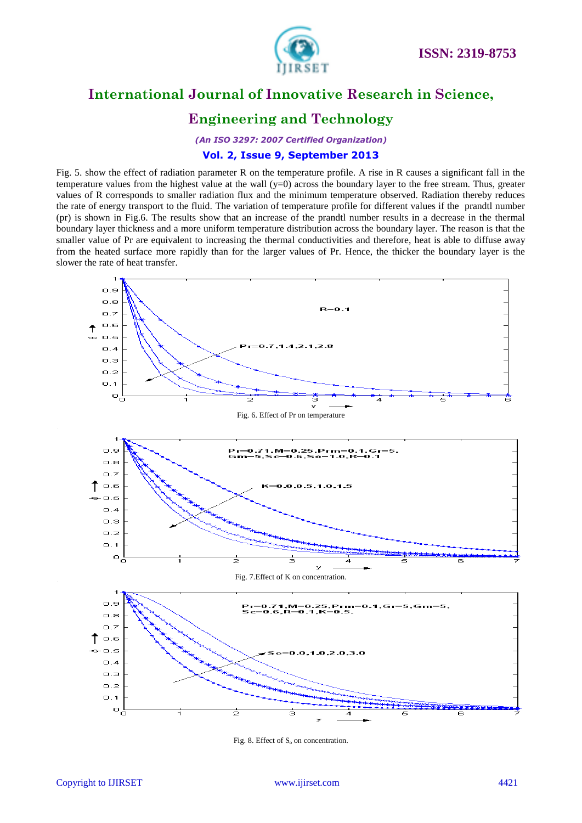

# **Engineering and Technology**

*(An ISO 3297: 2007 Certified Organization)*

### **Vol. 2, Issue 9, September 2013**

Fig. 5. show the effect of radiation parameter R on the temperature profile. A rise in R causes a significant fall in the temperature values from the highest value at the wall  $(y=0)$  across the boundary layer to the free stream. Thus, greater values of R corresponds to smaller radiation flux and the minimum temperature observed. Radiation thereby reduces the rate of energy transport to the fluid. The variation of temperature profile for different values if the prandtl number (pr) is shown in Fig.6. The results show that an increase of the prandtl number results in a decrease in the thermal boundary layer thickness and a more uniform temperature distribution across the boundary layer. The reason is that the smaller value of Pr are equivalent to increasing the thermal conductivities and therefore, heat is able to diffuse away from the heated surface more rapidly than for the larger values of Pr. Hence, the thicker the boundary layer is the slower the rate of heat transfer.



Fig. 8. Effect of  $S_0$  on concentration.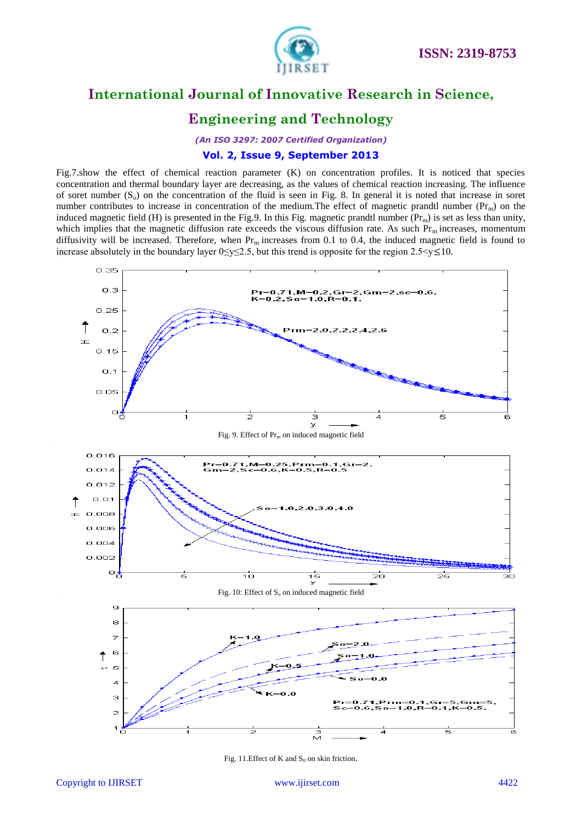

# **Engineering and Technology**

*(An ISO 3297: 2007 Certified Organization)*

### **Vol. 2, Issue 9, September 2013**

Fig.7.show the effect of chemical reaction parameter (K) on concentration profiles. It is noticed that species concentration and thermal boundary layer are decreasing, as the values of chemical reaction increasing. The influence of soret number  $(S_0)$  on the concentration of the fluid is seen in Fig. 8. In general it is noted that increase in soret number contributes to increase in concentration of the medium. The effect of magnetic prandtl number ( $Pr<sub>m</sub>$ ) on the induced magnetic field (H) is presented in the Fig.9. In this Fig. magnetic prandtl number  $(Pr_m)$  is set as less than unity, which implies that the magnetic diffusion rate exceeds the viscous diffusion rate. As such  $Pr_m$  increases, momentum diffusivity will be increased. Therefore, when  $Pr_m$  increases from 0.1 to 0.4, the induced magnetic field is found to increase absolutely in the boundary layer  $0 \le y \le 2.5$ , but this trend is opposite for the region  $2.5 \le y \le 10$ .



Fig. 11. Effect of K and  $S_0$  on skin friction.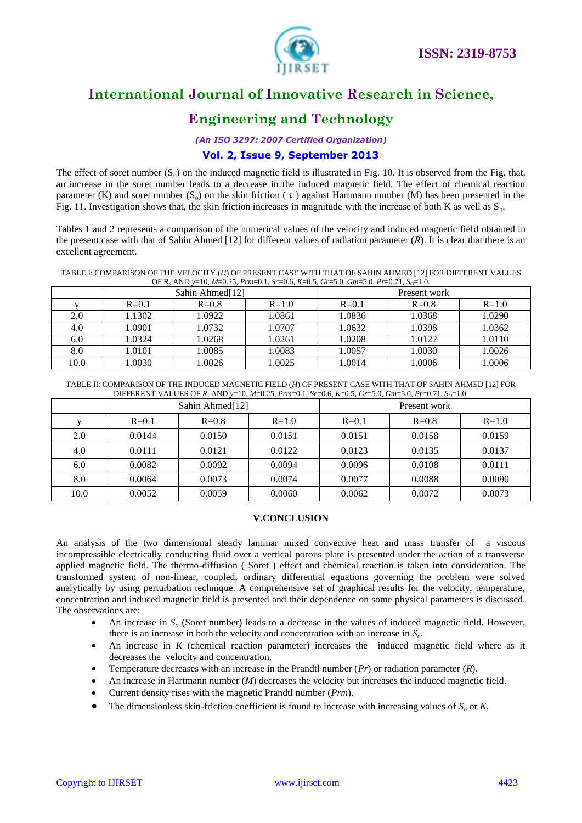

# **Engineering and Technology**

*(An ISO 3297: 2007 Certified Organization)*

### **Vol. 2, Issue 9, September 2013**

The effect of soret number  $(S_0)$  on the induced magnetic field is illustrated in Fig. 10. It is observed from the Fig. that, an increase in the soret number leads to a decrease in the induced magnetic field. The effect of chemical reaction parameter (K) and soret number (S<sub>o</sub>) on the skin friction ( $\tau$ ) against Hartmann number (M) has been presented in the Fig. 11. Investigation shows that, the skin friction increases in magnitude with the increase of both K as well as  $S_0$ .

Tables 1 and 2 represents a comparison of the numerical values of the velocity and induced magnetic field obtained in the present case with that of Sahin Ahmed [12] for different values of radiation parameter (*R*). It is clear that there is an excellent agreement.

TABLE I: COMPARISON OF THE VELOCITY (*U*) OF PRESENT CASE WITH THAT OF SAHIN AHMED [12] FOR DIFFERENT VALUES OF R, AND *y*=10, *M*=0.25, *Prm*=0.1, *Sc*=0.6, *K*=0.5, *Gr*=5.0, *Gm*=5.0, *Pr*=0.71, *SO*=1.0.

|      | Sahin Ahmed[12] |         |         | Present work |         |           |
|------|-----------------|---------|---------|--------------|---------|-----------|
|      | $R = 0.1$       | $R=0.8$ | $R=1.0$ | $R = 0.1$    | $R=0.8$ | $R = 1.0$ |
| 2.0  | 1.1302          | 1.0922  | 1.0861  | 1.0836       | 1.0368  | 1.0290    |
| 4.0  | 1.0901          | 1.0732  | 1.0707  | 1.0632       | 1.0398  | 1.0362    |
| 6.0  | 1.0324          | 1.0268  | 1.0261  | 1.0208       | 1.0122  | 1.0110    |
| 8.0  | 1.0101          | 1.0085  | 1.0083  | 1.0057       | 1.0030  | 1.0026    |
| 10.0 | 1.0030          | 1.0026  | 1.0025  | 1.0014       | 1.0006  | 1.0006    |

TABLE II: COMPARISON OF THE INDUCED MAGNETIC FIELD (*H*) OF PRESENT CASE WITH THAT OF SAHIN AHMED [12] FOR DIFFERENT VALUES OF *R,* AND *y*=10, *M*=0.25, *Prm*=0.1, *Sc*=0.6, *K*=0.5, *Gr*=5.0, *Gm*=5.0, *Pr*=0.71, *SO*=1.0.

|      | Sahin Ahmed[12] |         |           | Present work |         |         |
|------|-----------------|---------|-----------|--------------|---------|---------|
|      | $R=0.1$         | $R=0.8$ | $R = 1.0$ | $R=0.1$      | $R=0.8$ | $R=1.0$ |
| 2.0  | 0.0144          | 0.0150  | 0.0151    | 0.0151       | 0.0158  | 0.0159  |
| 4.0  | 0.0111          | 0.0121  | 0.0122    | 0.0123       | 0.0135  | 0.0137  |
| 6.0  | 0.0082          | 0.0092  | 0.0094    | 0.0096       | 0.0108  | 0.0111  |
| 8.0  | 0.0064          | 0.0073  | 0.0074    | 0.0077       | 0.0088  | 0.0090  |
| 10.0 | 0.0052          | 0.0059  | 0.0060    | 0.0062       | 0.0072  | 0.0073  |

#### **V.CONCLUSION**

An analysis of the two dimensional steady laminar mixed convective heat and mass transfer of a viscous incompressible electrically conducting fluid over a vertical porous plate is presented under the action of a transverse applied magnetic field. The thermo-diffusion ( Soret ) effect and chemical reaction is taken into consideration. The transformed system of non-linear, coupled, ordinary differential equations governing the problem were solved analytically by using perturbation technique. A comprehensive set of graphical results for the velocity, temperature, concentration and induced magnetic field is presented and their dependence on some physical parameters is discussed. The observations are:

- An increase in  $S$ <sup> $o$ </sup> (Soret number) leads to a decrease in the values of induced magnetic field. However, there is an increase in both the velocity and concentration with an increase in *So*.
- An increase in *K* (chemical reaction parameter) increases the induced magnetic field where as it decreases the velocity and concentration.
- Temperature decreases with an increase in the Prandtl number (*Pr*) or radiation parameter (*R*).
- An increase in Hartmann number (*M*) decreases the velocity but increases the induced magnetic field.
- Current density rises with the magnetic Prandtl number (*Prm*).
- The dimensionless skin-friction coefficient is found to increase with increasing values of *S<sup>o</sup>* or *K*.